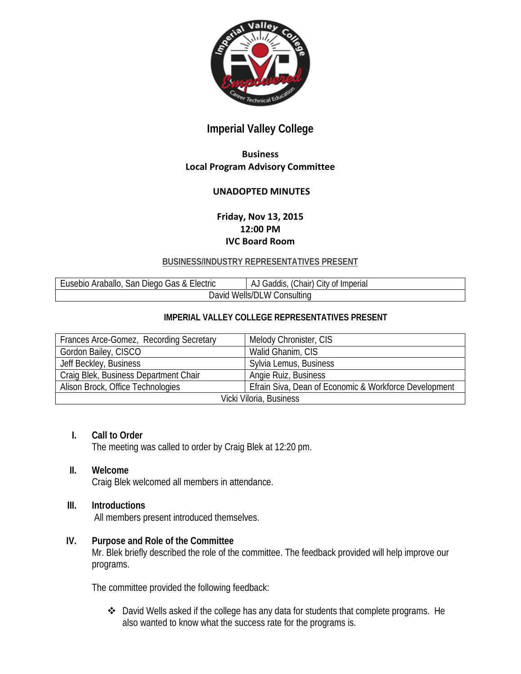

# **Imperial Valley College**

# **Business Local Program Advisory Committee**

# **UNADOPTED MINUTES**

# **Friday, Nov 13, 2015 12:00 PM IVC Board Room**

#### **BUSINESS/INDUSTRY REPRESENTATIVES PRESENT**

| Araballo,<br>Diego Gas & Electric<br><b>Lusebio</b><br>San | $\sim$<br>Chair)<br>City of Imperial<br>Gaddis<br>AJ |
|------------------------------------------------------------|------------------------------------------------------|
| Consultina<br>Wells/DL<br>W<br>Javid                       |                                                      |

#### **IMPERIAL VALLEY COLLEGE REPRESENTATIVES PRESENT**

| Frances Arce-Gomez, Recording Secretary | Melody Chronister, CIS                                |
|-----------------------------------------|-------------------------------------------------------|
| Gordon Bailey, CISCO                    | Walid Ghanim, CIS                                     |
| Jeff Beckley, Business                  | Sylvia Lemus, Business                                |
| Craig Blek, Business Department Chair   | Angie Ruiz, Business                                  |
| Alison Brock, Office Technologies       | Efrain Siva, Dean of Economic & Workforce Development |
| Vicki Viloria, Business                 |                                                       |

#### **I. Call to Order**

The meeting was called to order by Craig Blek at 12:20 pm.

#### **II. Welcome**

Craig Blek welcomed all members in attendance.

#### **III. Introductions**

All members present introduced themselves.

#### **IV. Purpose and Role of the Committee**

Mr. Blek briefly described the role of the committee. The feedback provided will help improve our programs.

The committee provided the following feedback:

 David Wells asked if the college has any data for students that complete programs. He also wanted to know what the success rate for the programs is.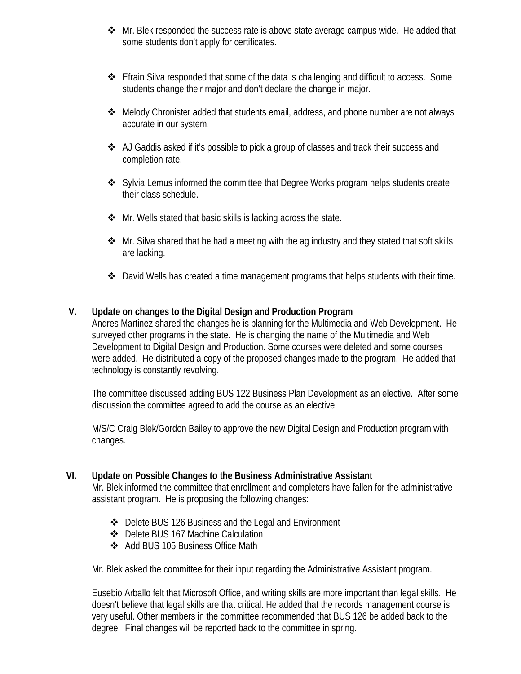- $\clubsuit$  Mr. Blek responded the success rate is above state average campus wide. He added that some students don't apply for certificates.
- Efrain Silva responded that some of the data is challenging and difficult to access. Some students change their major and don't declare the change in major.
- Melody Chronister added that students email, address, and phone number are not always accurate in our system.
- $\clubsuit$  AJ Gaddis asked if it's possible to pick a group of classes and track their success and completion rate.
- Sylvia Lemus informed the committee that Degree Works program helps students create their class schedule.
- $\clubsuit$  Mr. Wells stated that basic skills is lacking across the state.
- $\cdot$  Mr. Silva shared that he had a meeting with the ag industry and they stated that soft skills are lacking.
- $\clubsuit$  David Wells has created a time management programs that helps students with their time.

# **V. Update on changes to the Digital Design and Production Program**

Andres Martinez shared the changes he is planning for the Multimedia and Web Development. He surveyed other programs in the state. He is changing the name of the Multimedia and Web Development to Digital Design and Production. Some courses were deleted and some courses were added. He distributed a copy of the proposed changes made to the program. He added that technology is constantly revolving.

The committee discussed adding BUS 122 Business Plan Development as an elective. After some discussion the committee agreed to add the course as an elective.

M/S/C Craig Blek/Gordon Bailey to approve the new Digital Design and Production program with changes.

# **VI. Update on Possible Changes to the Business Administrative Assistant**

Mr. Blek informed the committee that enrollment and completers have fallen for the administrative assistant program. He is proposing the following changes:

- ❖ Delete BUS 126 Business and the Legal and Environment
- Delete BUS 167 Machine Calculation
- ❖ Add BUS 105 Business Office Math

Mr. Blek asked the committee for their input regarding the Administrative Assistant program.

Eusebio Arballo felt that Microsoft Office, and writing skills are more important than legal skills. He doesn't believe that legal skills are that critical. He added that the records management course is very useful. Other members in the committee recommended that BUS 126 be added back to the degree. Final changes will be reported back to the committee in spring.